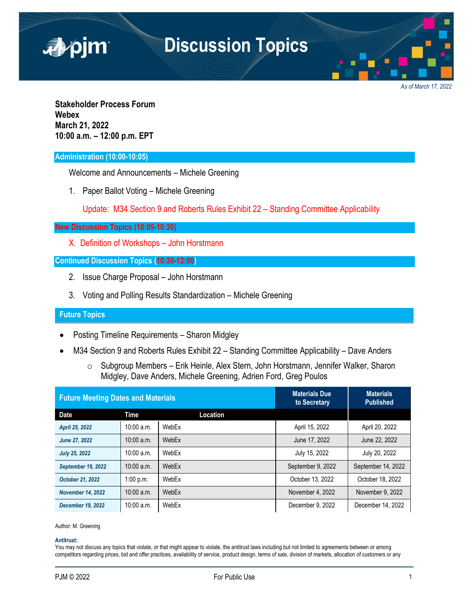

*As of March 17, 2022*

**Stakeholder Process Forum Webex March 21, 2022 10:00 a.m. – 12:00 p.m. EPT**

## **Administration (10:00-10:05)**

Welcome and Announcements – Michele Greening

1. Paper Ballot Voting – Michele Greening

Update: M34 Section 9 and Roberts Rules Exhibit 22 – Standing Committee Applicability

## **New Discussion Topics (10:05-10:30)**

X. Definition of Workshops – John Horstmann

## **Continued Discussion Topics (10:30-12:00)**

- 2. Issue Charge Proposal John Horstmann
- 3. Voting and Polling Results Standardization Michele Greening

## **Future Topics**

- Posting Timeline Requirements Sharon Midgley
- M34 Section 9 and Roberts Rules Exhibit 22 Standing Committee Applicability Dave Anders
	- o Subgroup Members Erik Heinle, Alex Stern, John Horstmann, Jennifer Walker, Sharon Midgley, Dave Anders, Michele Greening, Adrien Ford, Greg Poulos

| <b>Future Meeting Dates and Materials</b> |              |          | <b>Materials Due</b><br>to Secretary | <b>Materials</b><br>Published |
|-------------------------------------------|--------------|----------|--------------------------------------|-------------------------------|
| <b>Date</b>                               | Time         | Location |                                      |                               |
| April 25, 2022                            | $10:00$ a.m. | WebEx    | April 15, 2022                       | April 20, 2022                |
| June 27, 2022                             | $10:00$ a.m. | WebEx    | June 17, 2022                        | June 22, 2022                 |
| <b>July 25, 2022</b>                      | $10:00$ a.m. | WebEx    | July 15, 2022                        | July 20, 2022                 |
| <b>September 19, 2022</b>                 | $10:00$ a.m. | WebEx    | September 9, 2022                    | September 14, 2022            |
| October 21, 2022                          | 1:00 p.m.    | WebEx    | October 13, 2022                     | October 18, 2022              |
| <b>November 14, 2022</b>                  | $10:00$ a.m. | WebEx    | November 4, 2022                     | November 9, 2022              |
| <b>December 19, 2022</b>                  | $10:00$ a.m. | WebEx    | December 9, 2022                     | December 14, 2022             |

Author: M. Greening

#### **Antitrust:**

You may not discuss any topics that violate, or that might appear to violate, the antitrust laws including but not limited to agreements between or among competitors regarding prices, bid and offer practices, availability of service, product design, terms of sale, division of markets, allocation of customers or any